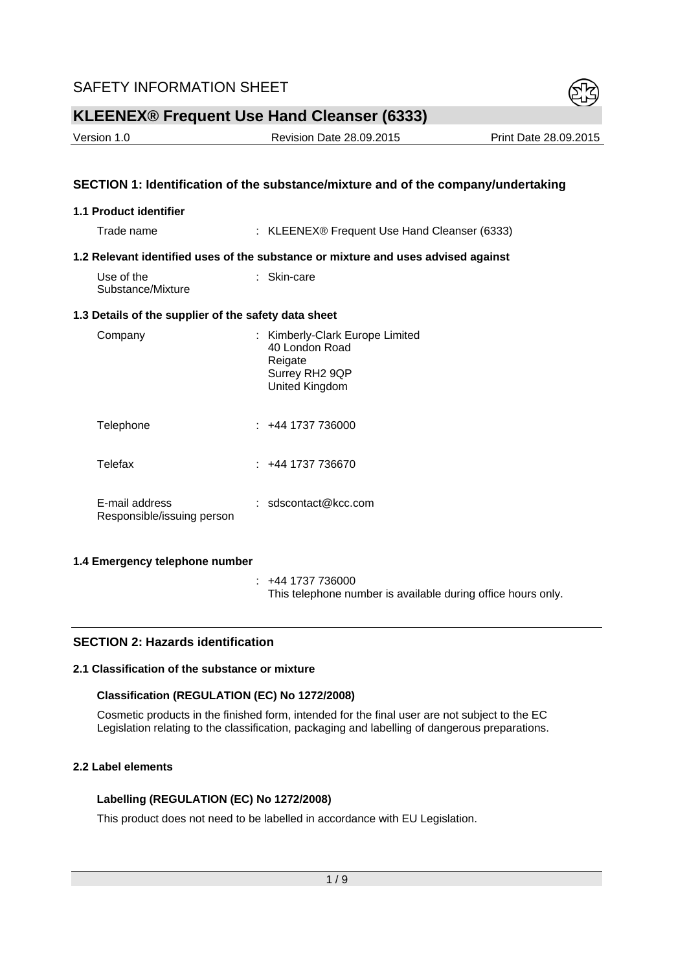

Version 1.0 Revision Date 28.09.2015 Print Date 28.09.2015

## **SECTION 1: Identification of the substance/mixture and of the company/undertaking**

#### **1.1 Product identifier**

Trade name : KLEENEX® Frequent Use Hand Cleanser (6333)

#### **1.2 Relevant identified uses of the substance or mixture and uses advised against**

| Use of the        | $:$ Skin-care |
|-------------------|---------------|
| Substance/Mixture |               |

#### **1.3 Details of the supplier of the safety data sheet**

| Company                                      | : Kimberly-Clark Europe Limited<br>40 London Road<br>Reigate<br>Surrey RH2 9QP<br>United Kingdom |
|----------------------------------------------|--------------------------------------------------------------------------------------------------|
| Telephone                                    | : +44 1737 736000                                                                                |
| Telefax                                      | 144 1737 736670 <del>1</del>                                                                     |
| E-mail address<br>Responsible/issuing person | : $sdscontact@kcc.com$                                                                           |

#### **1.4 Emergency telephone number**

 : +44 1737 736000 This telephone number is available during office hours only.

#### **SECTION 2: Hazards identification**

# **2.1 Classification of the substance or mixture**

#### **Classification (REGULATION (EC) No 1272/2008)**

Cosmetic products in the finished form, intended for the final user are not subject to the EC Legislation relating to the classification, packaging and labelling of dangerous preparations.

# **2.2 Label elements**

#### **Labelling (REGULATION (EC) No 1272/2008)**

This product does not need to be labelled in accordance with EU Legislation.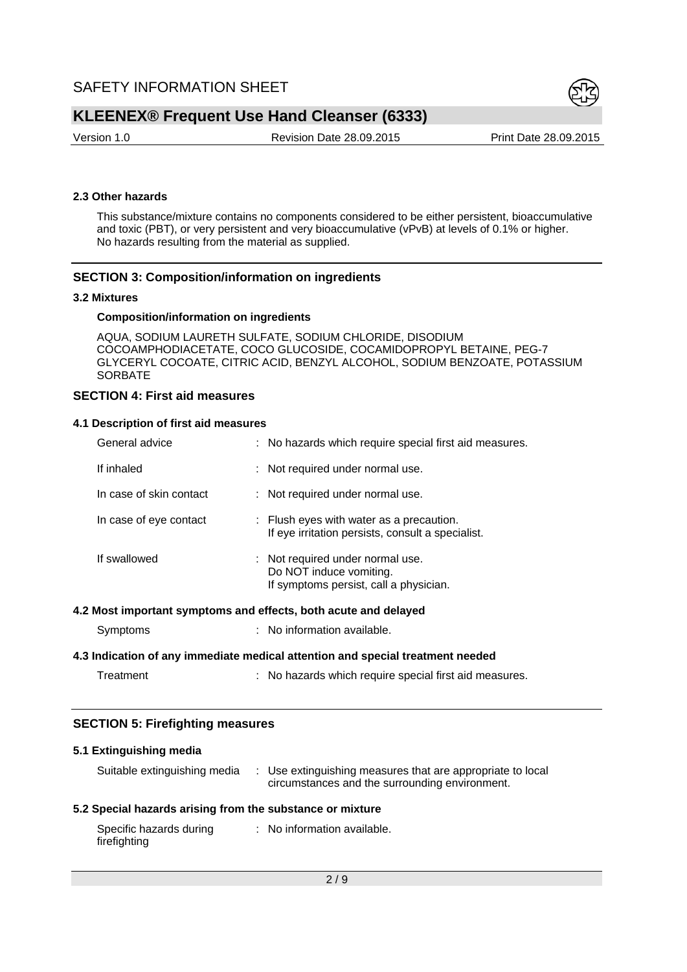

Version 1.0 Revision Date 28.09.2015 Print Date 28.09.2015

#### **2.3 Other hazards**

This substance/mixture contains no components considered to be either persistent, bioaccumulative and toxic (PBT), or very persistent and very bioaccumulative (vPvB) at levels of 0.1% or higher. No hazards resulting from the material as supplied.

#### **SECTION 3: Composition/information on ingredients**

#### **3.2 Mixtures**

#### **Composition/information on ingredients**

AQUA, SODIUM LAURETH SULFATE, SODIUM CHLORIDE, DISODIUM COCOAMPHODIACETATE, COCO GLUCOSIDE, COCAMIDOPROPYL BETAINE, PEG-7 GLYCERYL COCOATE, CITRIC ACID, BENZYL ALCOHOL, SODIUM BENZOATE, POTASSIUM **SORBATE** 

# **SECTION 4: First aid measures**

#### **4.1 Description of first aid measures**

| General advice          | : No hazards which require special first aid measures.                                                |
|-------------------------|-------------------------------------------------------------------------------------------------------|
| If inhaled              | : Not required under normal use.                                                                      |
| In case of skin contact | : Not required under normal use.                                                                      |
| In case of eye contact  | : Flush eyes with water as a precaution.<br>If eye irritation persists, consult a specialist.         |
| If swallowed            | : Not required under normal use.<br>Do NOT induce vomiting.<br>If symptoms persist, call a physician. |

#### **4.2 Most important symptoms and effects, both acute and delayed**

| Symptoms | No information available. |
|----------|---------------------------|
|----------|---------------------------|

#### **4.3 Indication of any immediate medical attention and special treatment needed**

| : No hazards which require special first aid measures.<br>Treatment |
|---------------------------------------------------------------------|
|---------------------------------------------------------------------|

#### **SECTION 5: Firefighting measures**

# **5.1 Extinguishing media**

| Suitable extinguishing media | : Use extinguishing measures that are appropriate to local<br>circumstances and the surrounding environment. |
|------------------------------|--------------------------------------------------------------------------------------------------------------|
|                              |                                                                                                              |

# **5.2 Special hazards arising from the substance or mixture**

| Specific hazards during | : No information available. |
|-------------------------|-----------------------------|
| firefighting            |                             |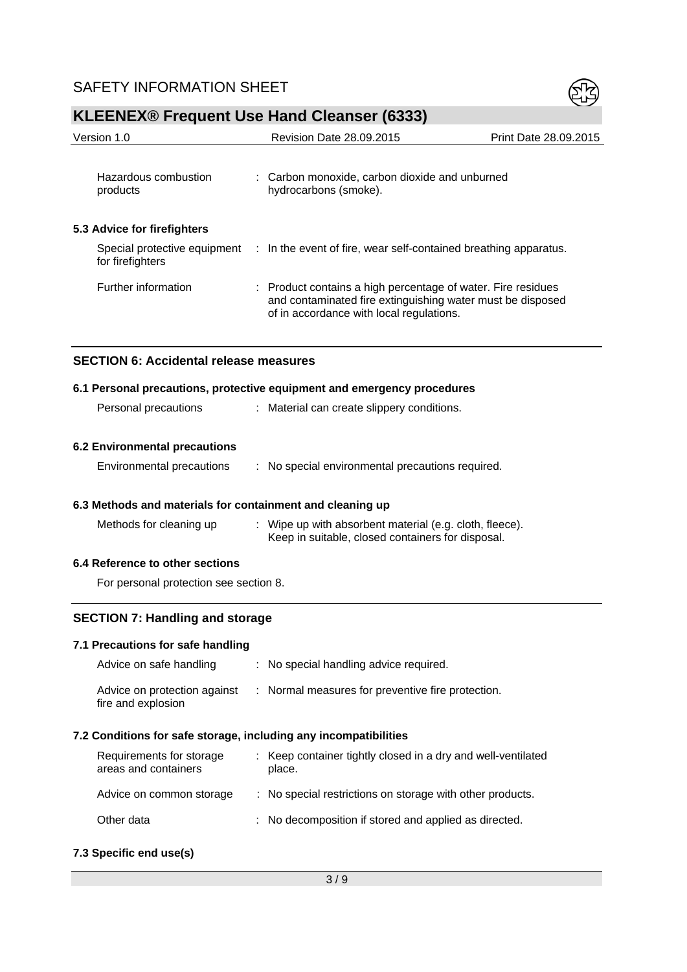

| <b>WELLING TO FURNISHE USE HAND CIESISE</b> (0000)        |  |                                                                                                                                                                        |                       |
|-----------------------------------------------------------|--|------------------------------------------------------------------------------------------------------------------------------------------------------------------------|-----------------------|
| Version 1.0                                               |  | Revision Date 28.09.2015                                                                                                                                               | Print Date 28.09.2015 |
|                                                           |  |                                                                                                                                                                        |                       |
| Hazardous combustion<br>products                          |  | : Carbon monoxide, carbon dioxide and unburned<br>hydrocarbons (smoke).                                                                                                |                       |
| 5.3 Advice for firefighters                               |  |                                                                                                                                                                        |                       |
| for firefighters                                          |  | Special protective equipment : In the event of fire, wear self-contained breathing apparatus.                                                                          |                       |
| Further information                                       |  | : Product contains a high percentage of water. Fire residues<br>and contaminated fire extinguishing water must be disposed<br>of in accordance with local regulations. |                       |
| <b>SECTION 6: Accidental release measures</b>             |  |                                                                                                                                                                        |                       |
|                                                           |  | 6.1 Personal precautions, protective equipment and emergency procedures                                                                                                |                       |
| Personal precautions                                      |  | : Material can create slippery conditions.                                                                                                                             |                       |
| <b>6.2 Environmental precautions</b>                      |  |                                                                                                                                                                        |                       |
| Environmental precautions                                 |  | : No special environmental precautions required.                                                                                                                       |                       |
| 6.3 Methods and materials for containment and cleaning up |  |                                                                                                                                                                        |                       |
| Methods for cleaning up                                   |  | Wipe up with absorbent material (e.g. cloth, fleece).<br>Keep in suitable, closed containers for disposal.                                                             |                       |

# **6.4 Reference to other sections**

For personal protection see section 8.

# **SECTION 7: Handling and storage**

#### **7.1 Precautions for safe handling**

| Advice on safe handling                            | : No special handling advice required.            |
|----------------------------------------------------|---------------------------------------------------|
| Advice on protection against<br>fire and explosion | : Normal measures for preventive fire protection. |

# **7.2 Conditions for safe storage, including any incompatibilities**

| Requirements for storage<br>areas and containers | : Keep container tightly closed in a dry and well-ventilated<br>place. |
|--------------------------------------------------|------------------------------------------------------------------------|
| Advice on common storage                         | : No special restrictions on storage with other products.              |
| Other data                                       | : No decomposition if stored and applied as directed.                  |

# **7.3 Specific end use(s)**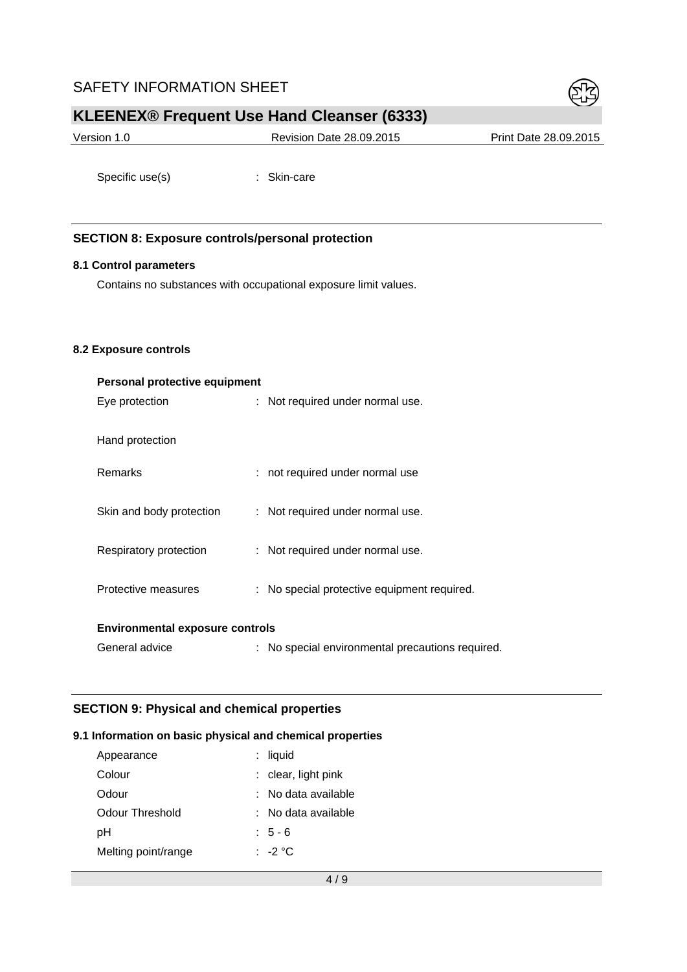# SAFETY INFORMATION SHEET



# **KLEENEX® Frequent Use Hand Cleanser (6333)**

| Version 1.0 | <b>Revision Date 28.09.2015</b> | Print Date 28,09,2015 |
|-------------|---------------------------------|-----------------------|
|             |                                 |                       |

Specific use(s) : Skin-care

# **SECTION 8: Exposure controls/personal protection**

#### **8.1 Control parameters**

Contains no substances with occupational exposure limit values.

#### **8.2 Exposure controls**

| Personal protective equipment          |  |                                                  |
|----------------------------------------|--|--------------------------------------------------|
| Eye protection                         |  | : Not required under normal use.                 |
| Hand protection                        |  |                                                  |
| <b>Remarks</b>                         |  | : not required under normal use                  |
| Skin and body protection               |  | : Not required under normal use.                 |
| Respiratory protection                 |  | : Not required under normal use.                 |
| Protective measures                    |  | : No special protective equipment required.      |
| <b>Environmental exposure controls</b> |  |                                                  |
| General advice                         |  | : No special environmental precautions required. |

## **SECTION 9: Physical and chemical properties**

#### **9.1 Information on basic physical and chemical properties**

| Appearance          | : liquid              |
|---------------------|-----------------------|
| Colour              | $:$ clear, light pink |
| Odour               | $:$ No data available |
| Odour Threshold     | ∶ No data available   |
| pН                  | $:5-6$                |
| Melting point/range | $\cdot$ -2 °C.        |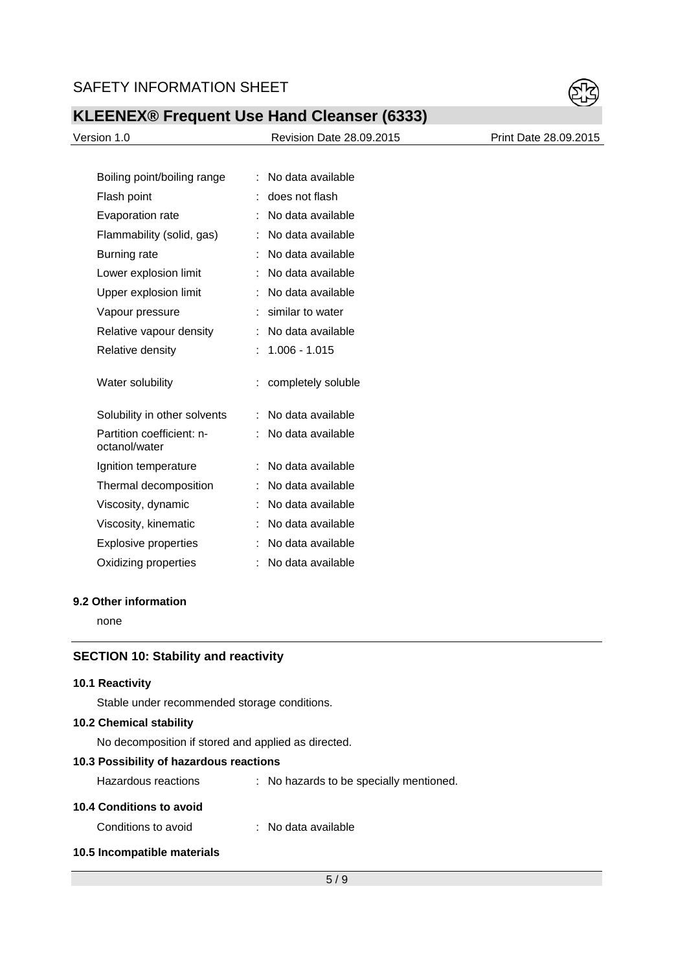

| Version 1.0 |  |
|-------------|--|
|             |  |

Revision Date 28.09.2015 Print Date 28.09.2015

| Boiling point/boiling range                |   | No data available  |
|--------------------------------------------|---|--------------------|
| Flash point                                | t | does not flash     |
| <b>Evaporation rate</b>                    |   | No data available  |
| Flammability (solid, gas)                  |   | No data available  |
| Burning rate                               | t | No data available  |
| Lower explosion limit                      | t | No data available  |
| Upper explosion limit                      | t | No data available  |
| Vapour pressure                            |   | similar to water   |
| Relative vapour density                    |   | No data available  |
| Relative density                           | t | $1.006 - 1.015$    |
|                                            |   |                    |
| Water solubility                           | İ | completely soluble |
| Solubility in other solvents               |   | No data available  |
| Partition coefficient: n-<br>octanol/water | t | No data available  |
| Ignition temperature                       | t | No data available  |
| Thermal decomposition                      | t | No data available  |
| Viscosity, dynamic                         |   | No data available  |
| Viscosity, kinematic                       |   | No data available  |
| <b>Explosive properties</b>                | t | No data available  |

# **9.2 Other information**

none

# **SECTION 10: Stability and reactivity**

#### **10.1 Reactivity**

Stable under recommended storage conditions.

## **10.2 Chemical stability**

No decomposition if stored and applied as directed.

# **10.3 Possibility of hazardous reactions**

| Hazardous reactions |  | No hazards to be specially mentioned. |
|---------------------|--|---------------------------------------|
|---------------------|--|---------------------------------------|

## **10.4 Conditions to avoid**

Conditions to avoid : No data available

# **10.5 Incompatible materials**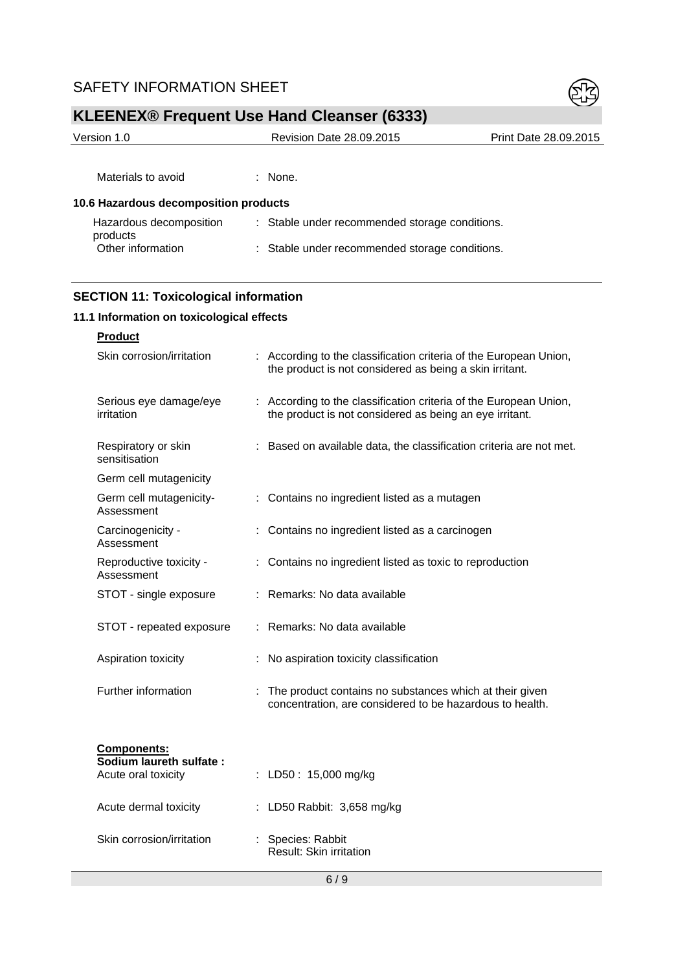# SAFETY INFORMATION SHEET



# **KLEENEX® Frequent Use Hand Cleanser (6333)**

| Version 1.0                           | <b>Revision Date 28.09.2015</b>                | Print Date 28.09.2015 |
|---------------------------------------|------------------------------------------------|-----------------------|
|                                       |                                                |                       |
| Materials to avoid                    | $:$ None.                                      |                       |
| 10.6 Hazardous decomposition products |                                                |                       |
| Hazardous decomposition<br>products   | : Stable under recommended storage conditions. |                       |
| Other information                     | : Stable under recommended storage conditions. |                       |
|                                       |                                                |                       |

# **SECTION 11: Toxicological information**

# **11.1 Information on toxicological effects**

| <b>Product</b>                                |                                                                                                                              |
|-----------------------------------------------|------------------------------------------------------------------------------------------------------------------------------|
| Skin corrosion/irritation                     | : According to the classification criteria of the European Union,<br>the product is not considered as being a skin irritant. |
| Serious eye damage/eye<br>irritation          | : According to the classification criteria of the European Union,<br>the product is not considered as being an eye irritant. |
| Respiratory or skin<br>sensitisation          | Based on available data, the classification criteria are not met.                                                            |
| Germ cell mutagenicity                        |                                                                                                                              |
| Germ cell mutagenicity-<br>Assessment         | Contains no ingredient listed as a mutagen                                                                                   |
| Carcinogenicity -<br>Assessment               | Contains no ingredient listed as a carcinogen                                                                                |
| Reproductive toxicity -<br>Assessment         | Contains no ingredient listed as toxic to reproduction                                                                       |
| STOT - single exposure                        | Remarks: No data available                                                                                                   |
| STOT - repeated exposure                      | Remarks: No data available                                                                                                   |
| Aspiration toxicity                           | No aspiration toxicity classification                                                                                        |
| Further information                           | The product contains no substances which at their given<br>concentration, are considered to be hazardous to health.          |
| <b>Components:</b><br>Sodium laureth sulfate: |                                                                                                                              |
| Acute oral toxicity                           | : LD50 : 15,000 mg/kg                                                                                                        |
| Acute dermal toxicity                         | : LD50 Rabbit: 3,658 mg/kg                                                                                                   |
| Skin corrosion/irritation                     | : Species: Rabbit<br><b>Result: Skin irritation</b>                                                                          |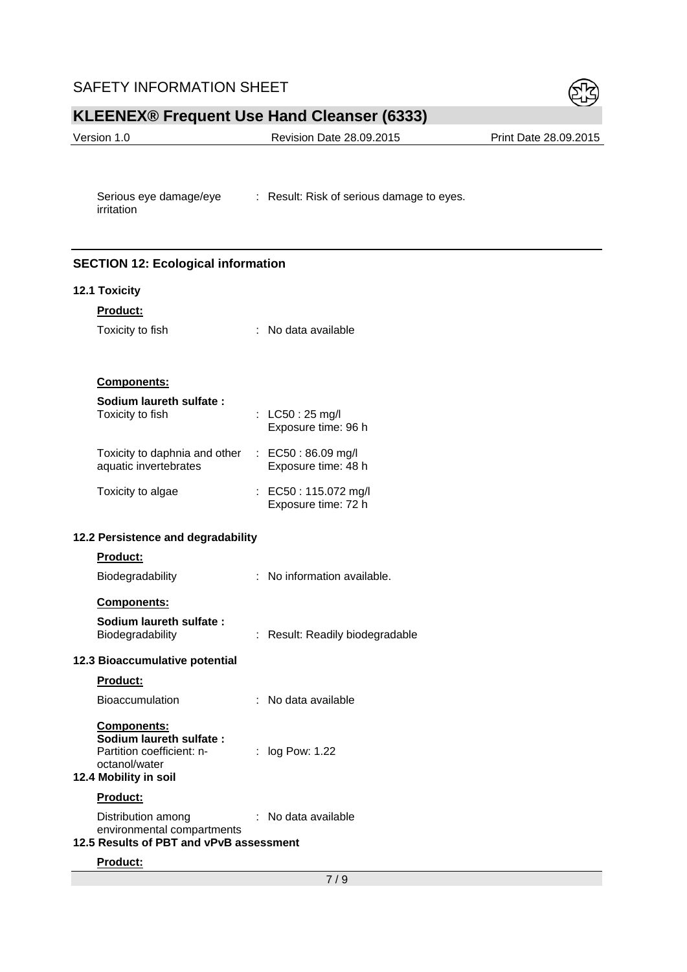# SAFETY INFORMATION SHEET



# **KLEENEX® Frequent Use Hand Cleanser (6333)**

| Version 1.0 | Revision Date 28.09.2015 | Print Date 28.09.2015 |
|-------------|--------------------------|-----------------------|
|             |                          |                       |

Serious eye damage/eye : Result: Risk of serious damage to eyes. irritation

# **SECTION 12: Ecological information**

#### **12.1 Toxicity**

| <b>Product:</b>               |                                                 |
|-------------------------------|-------------------------------------------------|
| Toxicity to fish              | No data available                               |
|                               |                                                 |
| <b>Components:</b>            |                                                 |
| Sodium laureth sulfate:       |                                                 |
| Toxicity to fish              | : $LC50:25 \text{ mg/l}$<br>Exposure time: 96 h |
| Toxicity to daphnia and other | : $EC50:86.09$ mg/l                             |
| aquatic invertebrates         | Exposure time: 48 h                             |
| Toxicity to algae             | : EC50 : 115.072 mg/l                           |
|                               | Exposure time: 72 h                             |

# **12.2 Persistence and degradability**

#### **Product:**

| Biodegradability | : No information available. |
|------------------|-----------------------------|
|------------------|-----------------------------|

#### **Components:**

**Sodium laureth sulfate :** 

| sulum luuretti sullute . |                                 |
|--------------------------|---------------------------------|
| Biodegradability         | : Result: Readily biodegradable |
|                          |                                 |

#### **12.3 Bioaccumulative potential**

# **Product:**

| <b>Bioaccumulation</b> |  | : No data available |
|------------------------|--|---------------------|
|------------------------|--|---------------------|

#### **Components: Sodium laureth sulfate :**  Partition coefficient: n-: log Pow: 1.22

#### octanol/water **12.4 Mobility in soil**

# **Product:**

| Distribution among         | : No data available |
|----------------------------|---------------------|
| environmental compartments |                     |

# **12.5 Results of PBT and vPvB assessment**

#### **Product:**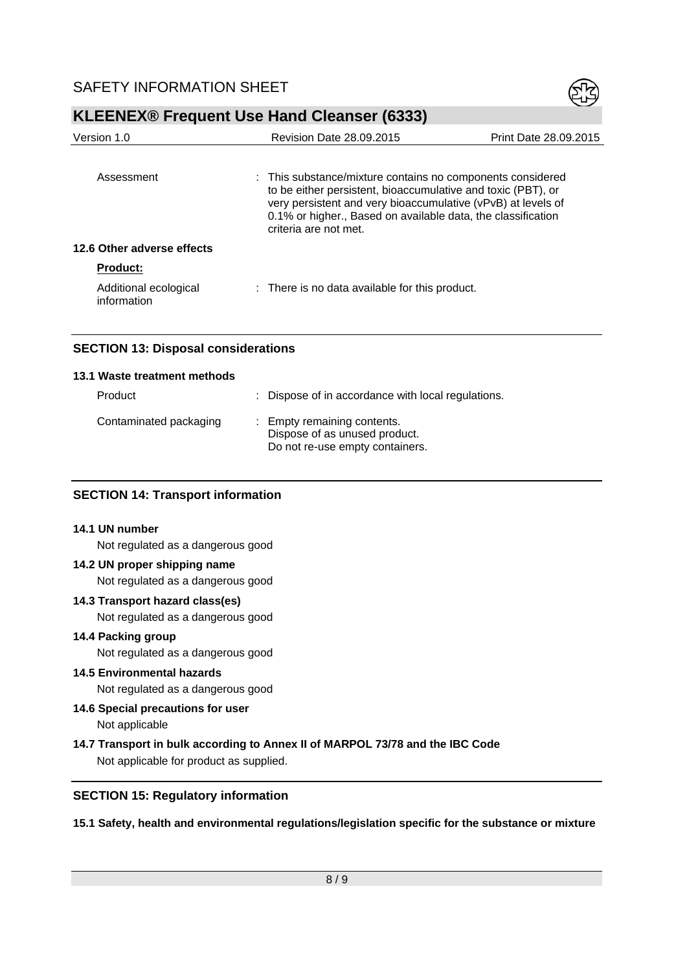

| Version 1.0                          | <b>Revision Date 28,09,2015</b>                                                                                                                                                                                       | Print Date 28.09.2015 |
|--------------------------------------|-----------------------------------------------------------------------------------------------------------------------------------------------------------------------------------------------------------------------|-----------------------|
| Assessment                           | : This substance/mixture contains no components considered                                                                                                                                                            |                       |
|                                      | to be either persistent, bioaccumulative and toxic (PBT), or<br>very persistent and very bioaccumulative (vPvB) at levels of<br>0.1% or higher., Based on available data, the classification<br>criteria are not met. |                       |
| 12.6 Other adverse effects           |                                                                                                                                                                                                                       |                       |
| <b>Product:</b>                      |                                                                                                                                                                                                                       |                       |
| Additional ecological<br>information | : There is no data available for this product.                                                                                                                                                                        |                       |

# **SECTION 13: Disposal considerations**

#### **13.1 Waste treatment methods**

| Product                | : Dispose of in accordance with local regulations.                                              |
|------------------------|-------------------------------------------------------------------------------------------------|
| Contaminated packaging | : Empty remaining contents.<br>Dispose of as unused product.<br>Do not re-use empty containers. |

#### **SECTION 14: Transport information**

#### **14.1 UN number**

Not regulated as a dangerous good

#### **14.2 UN proper shipping name**

Not regulated as a dangerous good

# **14.3 Transport hazard class(es)**

Not regulated as a dangerous good

#### **14.4 Packing group**

Not regulated as a dangerous good

# **14.5 Environmental hazards**

Not regulated as a dangerous good

# **14.6 Special precautions for user**  Not applicable

**14.7 Transport in bulk according to Annex II of MARPOL 73/78 and the IBC Code**  Not applicable for product as supplied.

## **SECTION 15: Regulatory information**

**15.1 Safety, health and environmental regulations/legislation specific for the substance or mixture**